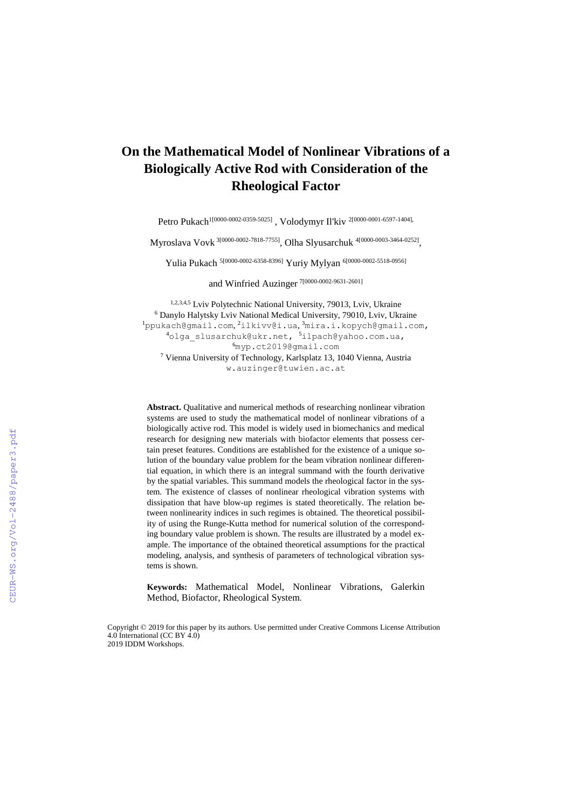# **On the Mathematical Model of Nonlinear Vibrations of a Biologically Active Rod with Consideration of the Rheological Factor**

Petro Pukach<sup>1[0000-0002-0359-5025]</sup> , Volodymyr Il'kiv <sup>2[0000-0001-6597-1404],</sup>

Myroslava Vovk <sup>3[0000-0002-7818-7755]</sup>, Olha Slyusarchuk <sup>4[0000-0003-3464-0252]</sup>,

Yulia Pukach<sup>[5\[0000-0002-6358-8396\]](https://orcid.org/0000-0002-6358-8396)</sup> Yuriy Mylyan<sup>6[0000-0002-5518-0956]</sup>

and Winfried Auzinger 7[0000-0002-9631-2601]

1,2,3,4,5 Lviv Polytechnic National University, 79013, Lviv, Ukraine Danylo Halytsky Lviv National Medical University, 79010, Lviv, Ukraine [ppukach@gmail.com](mailto:ppukach@gmail.com), <sup>2</sup>[ilkivv@i.ua](mailto:ilkivv@i.ua), <sup>3</sup>[mira.i.kopych@gmail.com,](mailto:mira.i.kopych@gmail.com) [olga\\_slusarchuk@ukr.net,](mailto:olga_slusarchuk@ukr.net) <sup>5</sup>[ilpach@yahoo.com.ua,](mailto:ilpach@yahoo.com.ua) [myp.ct2019@gmail.com](mailto:myp.ct2019@gmail.com) Vienna University of Technology, Karlsplatz 13, 1040 Vienna, Austria w.auzinger@tuwien.ac.at

**Abstract.** Qualitative and numerical methods of researching nonlinear vibration systems are used to study the mathematical model of nonlinear vibrations of a biologically active rod. This model is widely used in biomechanics and medical research for designing new materials with biofactor elements that possess certain preset features. Conditions are established for the existence of a unique solution of the boundary value problem for the beam vibration nonlinear differential equation, in which there is an integral summand with the fourth derivative by the spatial variables. This summand models the rheological factor in the system. The existence of classes of nonlinear rheological vibration systems with dissipation that have blow-up regimes is stated theoretically. The relation between nonlinearity indices in such regimes is obtained. The theoretical possibility of using the Runge-Kutta method for numerical solution of the corresponding boundary value problem is shown. The results are illustrated by a model example. The importance of the obtained theoretical assumptions for the practical modeling, analysis, and synthesis of parameters of technological vibration systems is shown.

**Keywords:** Mathematical Model, Nonlinear Vibrations, Galerkin Method, Biofactor, Rheological System.

Copyright © 2019 for this paper by its authors. Use permitted under Creative Commons License Attribution 4.0 International (CC BY 4.0) 2019 IDDM Workshops.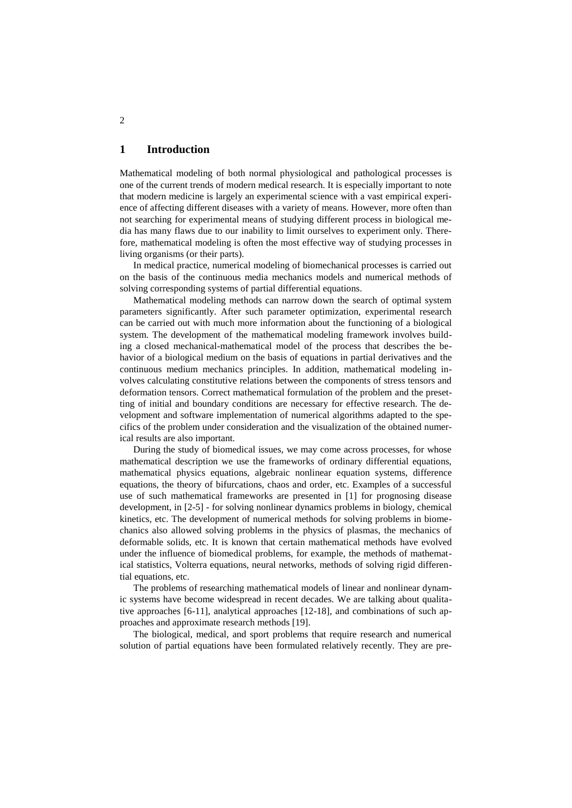## **1 Introduction**

Mathematical modeling of both normal physiological and pathological processes is one of the current trends of modern medical research. It is especially important to note that modern medicine is largely an experimental science with a vast empirical experience of affecting different diseases with a variety of means. However, more often than not searching for experimental means of studying different process in biological media has many flaws due to our inability to limit ourselves to experiment only. Therefore, mathematical modeling is often the most effective way of studying processes in living organisms (or their parts).

In medical practice, numerical modeling of biomechanical processes is carried out on the basis of the continuous media mechanics models and numerical methods of solving corresponding systems of partial differential equations.

Mathematical modeling methods can narrow down the search of optimal system parameters significantly. After such parameter optimization, experimental research can be carried out with much more information about the functioning of a biological system. The development of the mathematical modeling framework involves building a closed mechanical-mathematical model of the process that describes the behavior of a biological medium on the basis of equations in partial derivatives and the continuous medium mechanics principles. In addition, mathematical modeling involves calculating constitutive relations between the components of stress tensors and deformation tensors. Correct mathematical formulation of the problem and the presetting of initial and boundary conditions are necessary for effective research. The development and software implementation of numerical algorithms adapted to the specifics of the problem under consideration and the visualization of the obtained numerical results are also important.

During the study of biomedical issues, we may come across processes, for whose mathematical description we use the frameworks of ordinary differential equations, mathematical physics equations, algebraic nonlinear equation systems, difference equations, the theory of bifurcations, chaos and order, etc. Examples of a successful use of such mathematical frameworks are presented in [1] for prognosing disease development, in [2-5] - for solving nonlinear dynamics problems in biology, chemical kinetics, etc. The development of numerical methods for solving problems in biomechanics also allowed solving problems in the physics of plasmas, the mechanics of deformable solids, etc. It is known that certain mathematical methods have evolved under the influence of biomedical problems, for example, the methods of mathematical statistics, Volterra equations, neural networks, methods of solving rigid differential equations, etc.

The problems of researching mathematical models of linear and nonlinear dynamic systems have become widespread in recent decades. We are talking about qualitative approaches [6-11], analytical approaches [12-18], and combinations of such approaches and approximate research methods [19].

The biological, medical, and sport problems that require research and numerical solution of partial equations have been formulated relatively recently. They are pre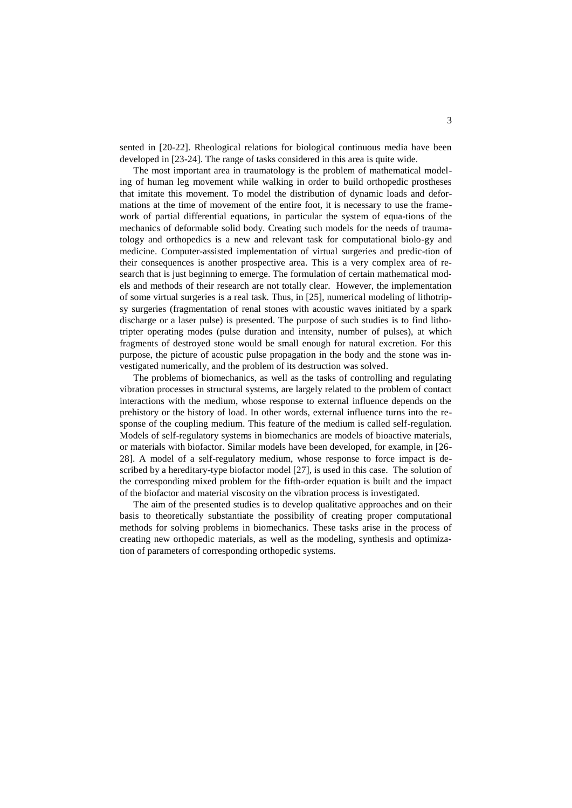sented in [20-22]. Rheological relations for biological continuous media have been developed in [23-24]. The range of tasks considered in this area is quite wide.

The most important area in traumatology is the problem of mathematical modeling of human leg movement while walking in order to build orthopedic prostheses that imitate this movement. To model the distribution of dynamic loads and deformations at the time of movement of the entire foot, it is necessary to use the framework of partial differential equations, in particular the system of equa-tions of the mechanics of deformable solid body. Creating such models for the needs of traumatology and orthopedics is a new and relevant task for computational biolo-gy and medicine. Computer-assisted implementation of virtual surgeries and predic-tion of their consequences is another prospective area. This is a very complex area of research that is just beginning to emerge. The formulation of certain mathematical models and methods of their research are not totally clear. However, the implementation of some virtual surgeries is a real task. Thus, in [25], numerical modeling of lithotripsy surgeries (fragmentation of renal stones with acoustic waves initiated by a spark discharge or a laser pulse) is presented. The purpose of such studies is to find lithotripter operating modes (pulse duration and intensity, number of pulses), at which fragments of destroyed stone would be small enough for natural excretion. For this purpose, the picture of acoustic pulse propagation in the body and the stone was investigated numerically, and the problem of its destruction was solved.

The problems of biomechanics, as well as the tasks of controlling and regulating vibration processes in structural systems, are largely related to the problem of contact interactions with the medium, whose response to external influence depends on the prehistory or the history of load. In other words, external influence turns into the response of the coupling medium. This feature of the medium is called self-regulation. Models of self-regulatory systems in biomechanics are models of bioactive materials, or materials with biofactor. Similar models have been developed, for example, in [26- 28]. A model of a self-regulatory medium, whose response to force impact is described by a hereditary-type biofactor model [27], is used in this case. The solution of the corresponding mixed problem for the fifth-order equation is built and the impact of the biofactor and material viscosity on the vibration process is investigated.

The aim of the presented studies is to develop qualitative approaches and on their basis to theoretically substantiate the possibility of creating proper computational methods for solving problems in biomechanics. These tasks arise in the process of creating new orthopedic materials, as well as the modeling, synthesis and optimization of parameters of corresponding orthopedic systems.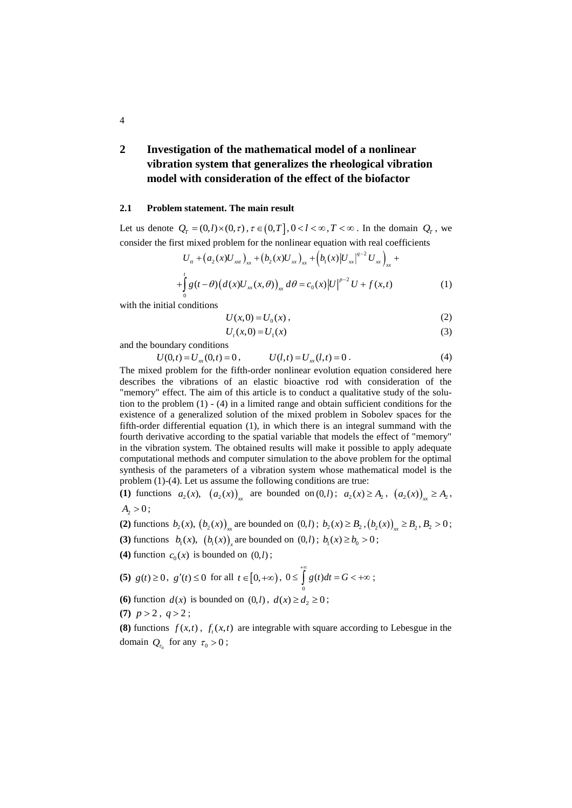## **2 Investigation of the mathematical model of a nonlinear vibration system that generalizes the rheological vibration model with consideration of the effect of the biofactor**

#### **2.1 Problem statement. The main result**

Let us denote  $Q_T = (0, l) \times (0, \tau)$ ,  $\tau \in (0, T], 0 < l < \infty$ ,  $T < \infty$ . In the domain  $Q_T$ , we consider the first mixed problem for the nonlinear equation with real coefficients

$$
U_{tt} + (a_2(x)U_{xx})_{xx} + (b_2(x)U_{xx})_{xx} + (b_1(x)|U_{xx}|^{q-2}U_{xx})_{xx} ++ \int_{0}^{t} g(t-\theta)(d(x)U_{xx}(x,\theta))_{xx} d\theta = c_0(x)|U|^{p-2}U + f(x,t)
$$
 (1)

with the initial conditions

$$
U(x,0) = U_0(x),
$$
 (2)

$$
U_t(x,0) = U_1(x) \tag{3}
$$

and the boundary conditions

$$
U(0,t) = U_{xx}(0,t) = 0, \qquad U(l,t) = U_{xx}(l,t) = 0.
$$
 (4)

The mixed problem for the fifth-order nonlinear evolution equation considered here describes the vibrations of an elastic bioactive rod with consideration of the "memory" effect. The aim of this article is to conduct a qualitative study of the solution to the problem (1) - (4) in a limited range and obtain sufficient conditions for the existence of a generalized solution of the mixed problem in Sobolev spaces for the fifth-order differential equation (1), in which there is an integral summand with the fourth derivative according to the spatial variable that models the effect of "memory" in the vibration system. The obtained results will make it possible to apply adequate computational methods and computer simulation to the above problem for the optimal synthesis of the parameters of a vibration system whose mathematical model is the problem (1)-(4). Let us assume the following conditions are true:

**(1)** functions  $a_2(x)$ ,  $(a_2(x))_{xx}$  are bounded on  $(0, l)$ ;  $a_2(x) \ge A_2$ ,  $(a_2(x))_{xx} \ge A_2$ ,  $A_2 > 0$ ;

(2) functions  $b_2(x)$ ,  $(b_2(x))_{xx}$  are bounded on  $(0,l)$ ;  $b_2(x) \ge B_2$ ,  $(b_2(x))_{xx} \ge B_2$ ,  $B_2 > 0$ ;

**(3)** functions  $b_1(x)$ ,  $(b_1(x))$  are bounded on  $(0, l)$ ;  $b_1(x) \ge b_0 > 0$ ;

**(4)** function  $c_0(x)$  is bounded on  $(0, l)$ ;

(5) 
$$
g(t) \ge 0
$$
,  $g'(t) \le 0$  for all  $t \in [0, +\infty)$ ,  $0 \le \int_{0}^{+\infty} g(t)dt = G < +\infty$ ;

**(6)** function  $d(x)$  is bounded on  $(0, l)$ ,  $d(x) \ge d_2 \ge 0$ ;

(7)  $p > 2$ ,  $q > 2$ ;

**(8)** functions  $f(x,t)$ ,  $f_t(x,t)$  are integrable with square according to Lebesgue in the domain  $Q_{\tau_0}$  for any  $\tau_0 > 0$ ;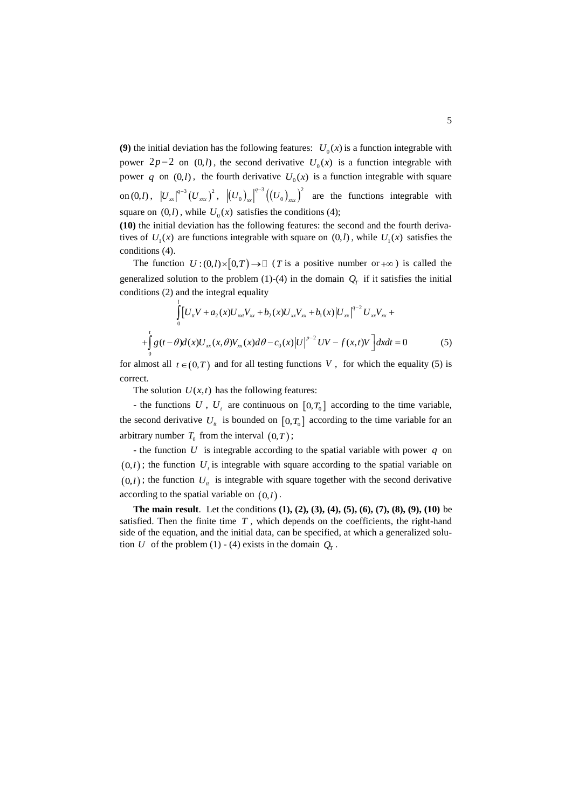**(9)** the initial deviation has the following features:  $U_0(x)$  is a function integrable with power  $2p-2$  on  $(0,l)$ , the second derivative  $U_0(x)$  is a function integrable with power q on  $(0, l)$ , the fourth derivative  $U_0(x)$  is a function integrable with square  $\text{on } (0, l) \,, \;\; \left| U_{_{xx}} \right|^{q-3} \! \left( U_{_{xxx}} \right)^2, \;\; \left| \left( U_{_0} \right)_{_{xx}} \right|^{q-3} \! \left( \left( U_{_0} \right)_{_{xxx}} \right)^2$  $0/m$   $1000$ *q*  $U_0$ <sub> $\Big|_{x}^{q^{-3}}$  $\Big(\Big(U_0\Big)_{x}^{q^{-3}}\Big)$  are the functions integrable with</sub> square on  $(0, l)$ , while  $U_0(x)$  satisfies the conditions (4);

**(10)** the initial deviation has the following features: the second and the fourth derivatives of  $U_1(x)$  are functions integrable with square on  $(0, l)$ , while  $U_1(x)$  satisfies the conditions (4).

The function  $U:(0,l)\times[0,T) \to \square$  (*T* is a positive number or  $+\infty$ ) is called the generalized solution to the problem (1)-(4) in the domain  $Q_T$  if it satisfies the initial conditions (2) and the integral equality

$$
\int_{0}^{t} \left[ U_{tt} V + a_2(x) U_{xx} V_{xx} + b_2(x) U_{xx} V_{xx} + b_1(x) |U_{xx}|^{q-2} U_{xx} V_{xx} + \right. \\
\left. + \int_{0}^{t} g(t - \theta) d(x) U_{xx}(x, \theta) V_{xx}(x) d\theta - c_0(x) |U|^{p-2} UV - f(x, t)V \right] dx dt = 0
$$
\n(5)

for almost all  $t \in (0,T)$  and for all testing functions V, for which the equality (5) is correct.

The solution  $U(x,t)$  has the following features:

- the functions  $U$ ,  $U_t$  are continuous on  $[0, T_0]$  according to the time variable, the second derivative  $U_t$  is bounded on  $[0, T_0]$  according to the time variable for an arbitrary number  $T_0$  from the interval  $(0,T)$ ;

- the function  $U$  is integrable according to the spatial variable with power  $q$  on  $(0, l)$ ; the function  $U<sub>t</sub>$  is integrable with square according to the spatial variable on  $(0, l)$ ; the function  $U_t$  is integrable with square together with the second derivative according to the spatial variable on 0,*<sup>l</sup>* .

**The main result**. Let the conditions **(1), (2), (3), (4), (5), (6), (7), (8), (9), (10)** be satisfied. Then the finite time  $T$ , which depends on the coefficients, the right-hand side of the equation, and the initial data, can be specified, at which a generalized solution U of the problem (1) - (4) exists in the domain  $Q_r$ .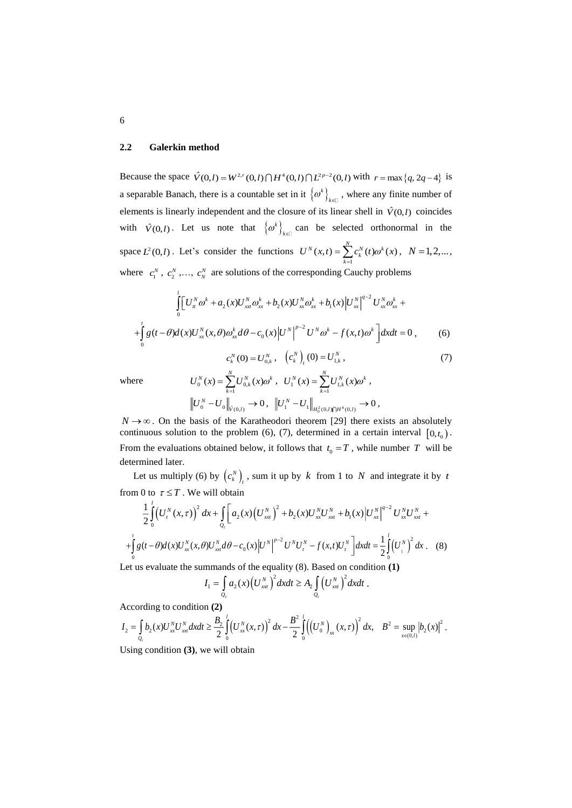#### **2.2 Galerkin method**

Because the space  $\hat{V}(0,l) = W^{2,r}(0,l) \cap H^4(0,l) \cap L^{2p-2}(0,l)$  with  $r = \max\{q, 2q-4\}$  is a separable Banach, there is a countable set in it  $\{\omega^k\}$ .  $\omega^k\big|_{k\in\mathbb{Z}}$ , where any finite number of elements is linearly independent and the closure of its linear shell in  $\hat{V}(0, l)$  coincides with  $\hat{V}(0,l)$ . Let us note that  $\{\omega^k\}_k$  $\left\{\alpha^k\right\}_{k\in\mathbb{N}}$  can be selected orthonormal in the space  $L^2(0, l)$ . Let's consider the functions  $U^N(x,t) = \sum_{k=1}^N c_k^N(t) \omega^k(x)$  $U''(x,t) = \sum C_i(x,t) \omega^k(x)$ Ξ  $=\sum c_k^N(t)\omega^k(x),\ \ N=1,2,...,$ where  $c_1^N$ ,  $c_2^N$ , ...,  $c_N^N$  are solutions of the corresponding Cauchy problems

$$
\int_{0}^{l} \left[ U_{u}^{N} \omega^{k} + a_{2}(x) U_{x}^{N} \omega_{xx}^{k} + b_{2}(x) U_{x}^{N} \omega_{xx}^{k} + b_{1}(x) \left| U_{x}^{N} \right|^{q-2} U_{x}^{N} \omega_{xx}^{k} + \right.
$$

$$
+ \int_{0}^{l} g(t - \theta) d(x) U_{xx}^{N}(x, \theta) \omega_{xx}^{k} d\theta - c_{0}(x) \left| U^{N} \right|^{p-2} U^{N} \omega^{k} - f(x, t) \omega^{k} \left] dx dt = 0 , \qquad (6)
$$

$$
c_{k}^{N}(0) = U_{0,k}^{N}, \quad \left( c_{k}^{N} \right)_{t} (0) = U_{1,k}^{N}, \qquad (7)
$$

where

$$
U_0^N(x) = \sum_{k=1}^N U_{0,k}^N(x)\omega^k, \quad U_1^N(x) = \sum_{k=1}^N U_{1,k}^N(x)\omega^k,
$$
  

$$
\left\| U_0^N - U_0 \right\|_{\dot{V}(0,l)} \to 0, \quad \left\| U_1^N - U_1 \right\|_{H_0^2(0,l)\cap H^4(0,l)} \to 0,
$$

 $N \rightarrow \infty$ . On the basis of the Karatheodori theorem [29] there exists an absolutely continuous solution to the problem  $(6)$ ,  $(7)$ , determined in a certain interval  $[0, t_0)$ . From the evaluations obtained below, it follows that  $t_0 = T$ , while number T will be determined later.

Let us multiply (6) by  $(c_k^N)_t$ , sum it up by k from 1 to N and integrate it by t from 0 to  $\tau \leq T$ . We will obtain

$$
\frac{1}{2}\int_{0}^{1} (U_{t}^{N}(x,\tau))^{2} dx + \int_{Q_{r}} \left[a_{2}(x)\left(U_{xxt}^{N}\right)^{2} + b_{2}(x)U_{xxt}^{N}U_{xxt}^{N} + b_{1}(x)\left|U_{xx}^{N}\right|^{q-2}U_{xx}^{N}U_{xxt}^{N} + a_{1}(x)U_{xx}^{N}(x,\theta)U_{xx}^{N}(x,\theta)U_{xx}^{N}d\theta - c_{0}(x)\left|U^{N}\right|^{p-2}U^{N}U_{t}^{N} - f(x,t)U_{t}^{N}\right]dxdt = \frac{1}{2}\int_{0}^{1} (U_{i}^{N})^{2} dx
$$
 (8)

Let us evaluate the summands of the equality (8). Based on condition **(1)**

$$
I_1 = \int\limits_{Q_r} a_2(x) \Big(U_{xx}^N\Big)^2 dx dt \ge A_2 \int\limits_{Q_r} \Big(U_{xx}^N\Big)^2 dx dt.
$$

According to condition **(2)**

$$
I_2 = \int_{Q_{\tau}} b_2(x) U_{xx}^N U_{xx}^N dx dt \ge \frac{B_2}{2} \int_0^1 \left( U_{xx}^N(x,\tau) \right)^2 dx - \frac{B^2}{2} \int_0^1 \left( \left( U_0^N \right)_{xx}(x,\tau) \right)^2 dx, \quad B^2 = \sup_{x \in (0,l)} \left| b_2(x) \right|^2.
$$

Using condition **(3)**, we will obtain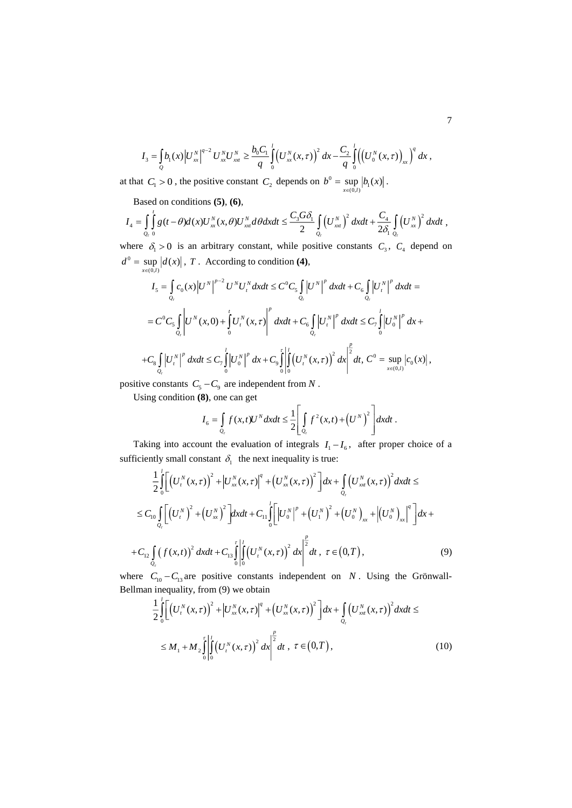$$
I_3 = \int_{Q} b_1(x) \left| U_{xx}^N \right|^{q-2} U_{xx}^N U_{x}^N \geq \frac{b_0 C_1}{q} \int_{0}^1 \left( U_{xx}^N(x,\tau) \right)^2 dx - \frac{C_2}{q} \int_{0}^1 \left( \left( U_{0}^N(x,\tau) \right)_{xx} \right)^q dx,
$$

at that  $C_1 > 0$ , the positive constant  $C_2$  depends on  $b^0 = \sup_{x \in (0,l)} |b_1(x)|$  $=$  sup  $|b_1(x)|$ .

Based on conditions **(5)**, **(6)**,

$$
I_4 = \int\limits_{Q_r} \int\limits_0^t g(t-\theta) d(x) U_{xx}^N(x,\theta) U_{xx}^N d\theta dx dt \leq \frac{C_3 G \delta_1}{2} \int\limits_{Q_r} \left(U_{xx}^N\right)^2 dx dt + \frac{C_4}{2\delta_1} \int\limits_{Q_r} \left(U_{xx}^N\right)^2 dx dt,
$$

where  $\delta_1 > 0$  is an arbitrary constant, while positive constants  $C_3$ ,  $C_4$  depend on  $d^{0} = \sup_{x \in (0,l)} |d(x)|$  $=$  sup  $|d(x)|$ , T. According to condition (4),

$$
I_{5} = \int_{Q_{r}} c_{0}(x) |U^{N}|^{p-2} U^{N} U_{t}^{N} dx dt \leq C^{0} C_{5} \int_{Q_{r}} |U^{N}|^{p} dx dt + C_{6} \int_{Q_{r}} |U_{t}^{N}|^{p} dx dt =
$$
  
\n
$$
= C^{0} C_{5} \int_{Q_{r}} |U^{N}(x, 0) + \int_{0}^{t} U_{t}^{N}(x, \tau) |U_{t}^{N}|^{p} dx dt + C_{6} \int_{Q_{r}} |U_{t}^{N}|^{p} dx dt \leq C_{7} \int_{0}^{t} |U_{0}^{N}|^{p} dx +
$$
  
\n
$$
+ C_{8} \int_{Q_{r}} |U_{t}^{N}|^{p} dx dt \leq C_{7} \int_{0}^{t} |U_{0}^{N}|^{p} dx + C_{9} \int_{0}^{\tau} \left| \int_{0}^{t} (U_{t}^{N}(x, \tau))^{2} dx \right|^{p} dt, C^{0} = \sup_{x \in (0, t)} |c_{0}(x)|,
$$

positive constants  $C_5 - C_9$  are independent from N.

Using condition **(8)**, one can get

$$
I_6 = \int\limits_{Q_r} f(x,t)U^N dxdt \leq \frac{1}{2} \left[ \int\limits_{Q_r} f^2(x,t) + \left(U^N\right)^2 \right] dxdt.
$$

Taking into account the evaluation of integrals  $I_1 - I_6$ , after proper choice of a sufficiently small constant  $\delta_1$  the next inequality is true:

$$
\frac{1}{2} \int_{0}^{1} \left[ \left( U_{t}^{N}(x,\tau) \right)^{2} + \left| U_{xx}^{N}(x,\tau) \right|^{q} + \left( U_{xx}^{N}(x,\tau) \right)^{2} \right] dx + \int_{Q_{\tau}} \left( U_{xx}^{N}(x,\tau) \right)^{2} dx dt \le
$$
\n
$$
\leq C_{10} \int_{Q_{\tau}} \left[ \left( U_{t}^{N} \right)^{2} + \left( U_{xx}^{N} \right)^{2} \right] dx dt + C_{11} \int_{0}^{l} \left[ \left| U_{0}^{N} \right|^{p} + \left( U_{1}^{N} \right)^{2} + \left( U_{0}^{N} \right)_{xx} + \left| \left( U_{0}^{N} \right)_{xx} \right|^{q} \right] dx +
$$
\n
$$
+ C_{12} \int_{Q_{\tau}} \left( f(x,t) \right)^{2} dx dt + C_{13} \int_{0}^{1} \left| \int_{0}^{l} \left( U_{t}^{N}(x,\tau) \right)^{2} dx \right|^{2} dt, \ \tau \in (0,T), \tag{9}
$$

where  $C_{10} - C_{13}$  are positive constants independent on N. Using the Grönwall-Bellman inequality, from (9) we obtain

$$
\frac{1}{2} \int_{0}^{1} \left[ \left( U_{t}^{N}(x,\tau) \right)^{2} + \left| U_{xx}^{N}(x,\tau) \right|^{q} + \left( U_{xx}^{N}(x,\tau) \right)^{2} \right] dx + \int_{Q_{\tau}} \left( U_{x_{x}}^{N}(x,\tau) \right)^{2} dx dt \le
$$
\n
$$
\leq M_{1} + M_{2} \int_{0}^{\tau} \left| \int_{0}^{1} \left( U_{t}^{N}(x,\tau) \right)^{2} dx \right|^{2} dt, \ \tau \in (0,T), \tag{10}
$$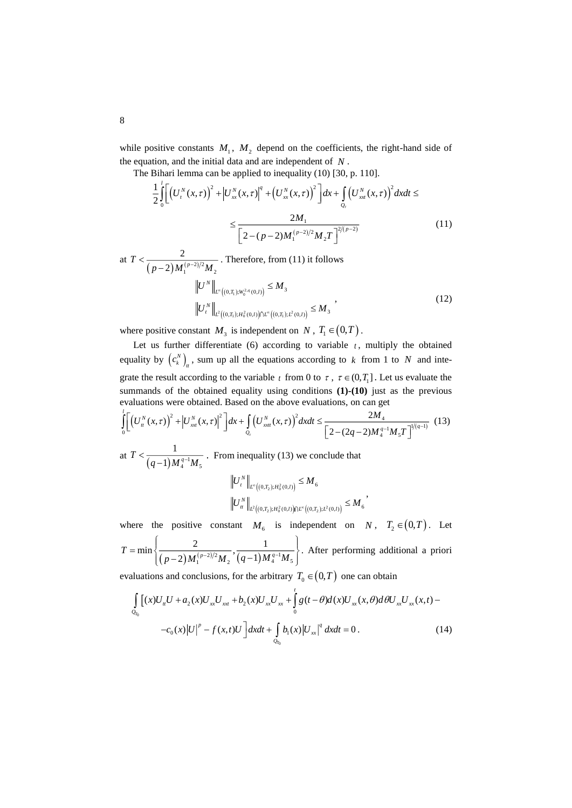while positive constants  $M_1$ ,  $M_2$  depend on the coefficients, the right-hand side of the equation, and the initial data and are independent of *<sup>N</sup>* .

The Bihari lemma can be applied to inequality (10) [30, p. 110].

$$
\frac{1}{2} \int_{0}^{1} \left[ \left( U_{t}^{N}(x,\tau) \right)^{2} + \left| U_{xx}^{N}(x,\tau) \right|^{q} + \left( U_{xx}^{N}(x,\tau) \right)^{2} \right] dx + \int_{Q_{\tau}} \left( U_{x\tau}^{N}(x,\tau) \right)^{2} dx dt \le
$$
\n
$$
\leq \frac{2M_{1}}{\left[ 2 - (p-2)M_{1}^{(p-2)/2} M_{2} T \right]^{2/(p-2)}} \tag{11}
$$

at 
$$
T < \frac{2}{(p-2)M_1^{(p-2)/2}M_2}
$$
. Therefore, from (11) it follows  
\n
$$
||U^N||_{L^{\infty}((0,T_1);W_0^{2,q}(0,l))} \le M_3
$$
\n
$$
||U^N||_{L^2((0,T_1);H_0^{2}(0,l)) \cap L^{\infty}((0,T_1);L^2(0,l))} \le M_3
$$
\n(12)

where positive constant  $M_3$  is independent on  $N$ ,  $T_1 \in (0,T)$ .

Let us further differentiate  $(6)$  according to variable  $t$ , multiply the obtained equality by  $(c_k^N)_n$ , sum up all the equations according to k from 1 to N and integrate the result according to the variable  $t$  from 0 to  $\tau$ ,  $\tau \in (0, T_1]$ . Let us evaluate the summands of the obtained equality using conditions **(1)-(10)** just as the previous evaluations were obtained. Based on the above evaluations, on can get

$$
\int_{0}^{l} \left[ \left( U_{u}^{N}(x,\tau) \right)^{2} + \left| U_{x}^{N}(x,\tau) \right|^{2} \right] dx + \int_{Q_{\tau}} \left( U_{xat}^{N}(x,\tau) \right)^{2} dx dt \le \frac{2M_{4}}{\left[ 2 - (2q - 2)M_{4}^{q-1}M_{5}T \right]^{1/(q-1)}} \tag{13}
$$
\nat  $T < \frac{1}{\sqrt{2}}$  From inequality (13) we conclude that

at  $T < \frac{1}{(q-1)M_4^{q-1}M_5}$  $\frac{1}{(q-1)M_4^{q-1}M_5}$ . From inequality (13) we conclude that  $U_t^N\Big\|_{L^\infty((0,T_0):H_0^2(0,l))}\leq M$ 

$$
\begin{aligned} &\|U_t^N\|_{L^{\infty}\big((0,T_2);H_0^2(0,l)\big)} = H^{\bullet}6 \\ &\left\|U_t^N\right\|_{L^2\big((0,T_2);H_0^2(0,l)\big)\cap L^{\infty}\big((0,T_2);L^2(0,l)\big)} \leq M_6 \end{aligned},
$$

where the positive constant  $M_6$  is independent on  $N$ ,  $T_2 \in (0,T)$ . Let  $({\it p-2})M_{1}^{({\it p-2})/2}M_{2}^{\quad \ \ \, \bm{\cdot}}({\it q-1})M_{4}^{\;q-1}M_{5}^{\quad \ \ \, \bm{\cdot}}$  $T = \min \left\{ \frac{2}{(p-2)M_1^{(p-2)/2}M_2}, \frac{1}{(q-1)M_4^{q-1}M_4} \right\}$  $=\min\left\{\frac{2}{\left(\,p-2\right)M_{1}^{\,(p-2)/2}M_{2}},\frac{1}{\left(\,q-1\right)M_{4}^{\,q-1}M_{5}}\right\}$ . After performing additional a priori

evaluations and conclusions, for the arbitrary  $T_0 \in (0,T)$  one can obtain

$$
\int_{Q_{T_0}} \left[ (x)U_{tt}U + a_2(x)U_{xx}U_{xxt} + b_2(x)U_{xx}U_{xx} + \int_0^t g(t-\theta)d(x)U_{xx}(x,\theta)d\theta U_{xx}U_{xx}(x,t) - c_0(x)|U|^p - f(x,t)U \right] dxdt + \int_{Q_{T_0}} b_1(x)|U_{xx}|^q dxdt = 0.
$$
\n(14)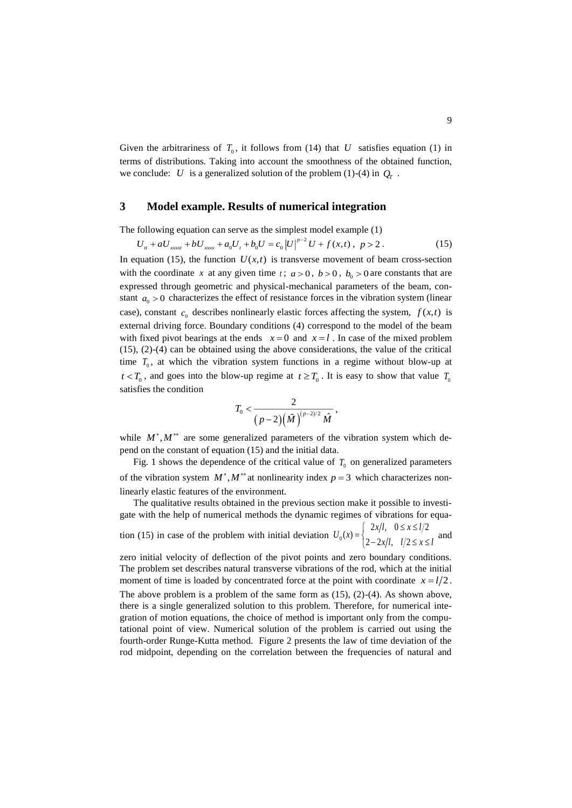Given the arbitrariness of  $T_0$ , it follows from (14) that U satisfies equation (1) in terms of distributions. Taking into account the smoothness of the obtained function, we conclude: U is a generalized solution of the problem (1)-(4) in  $Q_T$ .

## **3 Model example. Results of numerical integration**

The following equation can serve as the simplest model example (1)

$$
U_{tt} + aU_{xxxx} + bU_{xxx} + a_0U_t + b_0U = c_0 |U|^{p-2}U + f(x,t), \ p > 2.
$$
 (15)

In equation (15), the function  $U(x,t)$  is transverse movement of beam cross-section with the coordinate x at any given time t;  $a > 0$ ,  $b > 0$ ,  $b<sub>o</sub> > 0$  are constants that are expressed through geometric and physical-mechanical parameters of the beam, constant  $a_0 > 0$  characterizes the effect of resistance forces in the vibration system (linear case), constant  $c_0$  describes nonlinearly elastic forces affecting the system,  $f(x,t)$  is external driving force. Boundary conditions (4) correspond to the model of the beam with fixed pivot bearings at the ends  $x=0$  and  $x=l$ . In case of the mixed problem  $(15)$ ,  $(2)-(4)$  can be obtained using the above considerations, the value of the critical time  $T_0$ , at which the vibration system functions in a regime without blow-up at  $t < T_0$ , and goes into the blow-up regime at  $t \geq T_0$ . It is easy to show that value  $T_0$ satisfies the condition

$$
T_0<\frac{2}{\big(\,p-2\big)\big(\tilde M\,\big)^{\!(p-2)/2}\,\hat M}\;,
$$

while  $M^*$ ,  $M^{**}$  are some generalized parameters of the vibration system which depend on the constant of equation (15) and the initial data.

Fig. 1 shows the dependence of the critical value of  $T_0$  on generalized parameters of the vibration system  $M^*$ ,  $M^{**}$  at nonlinearity index  $p = 3$  which characterizes nonlinearly elastic features of the environment.

The qualitative results obtained in the previous section make it possible to investigate with the help of numerical methods the dynamic regimes of vibrations for equation (15) in case of the problem with initial deviation  $U_0$  $f(x) = \begin{cases} 2x/l, & 0 \le x \le l/2 \\ 2-2x/l, & l/2 \le x \le l/2 \end{cases}$  $U_0(x) = \begin{cases} 2x/l, & 0 \le x \le l/2 \\ 2-2x/l, & l/2 \le x \le l \end{cases}$  $=\begin{cases} 2x/l, & 0 \leq x \leq \\ 2x/l, & 1/2 \leq x \end{cases}$  $\int 2-2x/l, l/2 \le x \le l$  and

zero initial velocity of deflection of the pivot points and zero boundary conditions. The problem set describes natural transverse vibrations of the rod, which at the initial moment of time is loaded by concentrated force at the point with coordinate  $x = l/2$ . The above problem is a problem of the same form as  $(15)$ ,  $(2)-(4)$ . As shown above, there is a single generalized solution to this problem. Therefore, for numerical integration of motion equations, the choice of method is important only from the computational point of view. Numerical solution of the problem is carried out using the fourth-order Runge-Kutta method. Figure 2 presents the law of time deviation of the rod midpoint, depending on the correlation between the frequencies of natural and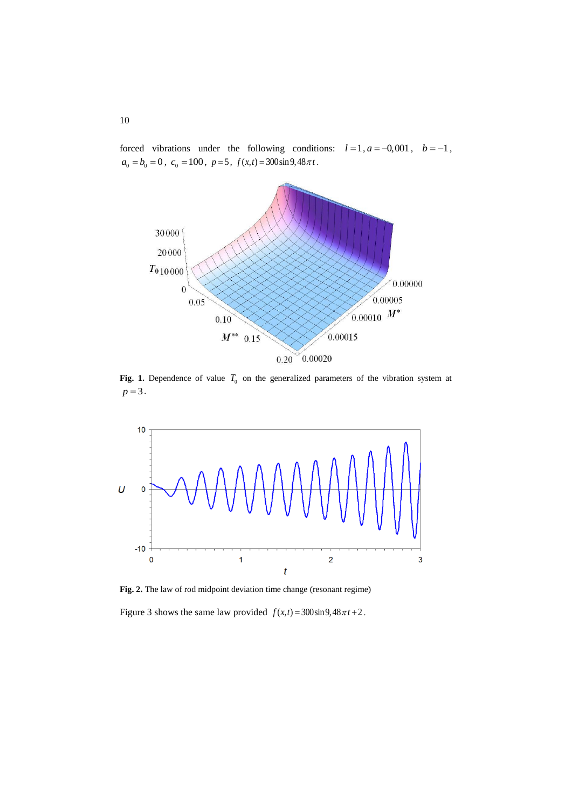forced vibrations under the following conditions:  $l=1, a=-0,001, b=-1,$  $a_0 = b_0 = 0$ ,  $c_0 = 100$ ,  $p = 5$ ,  $f(x,t) = 300 \sin 9,48 \pi t$ .



**Fig. 1.** Dependence of value  $T_0$  on the generalized parameters of the vibration system at  $p = 3$ .



**Fig. 2.** The law of rod midpoint deviation time change (resonant regime)

Figure 3 shows the same law provided  $f(x,t) = 300\sin 9,48\pi t + 2$ .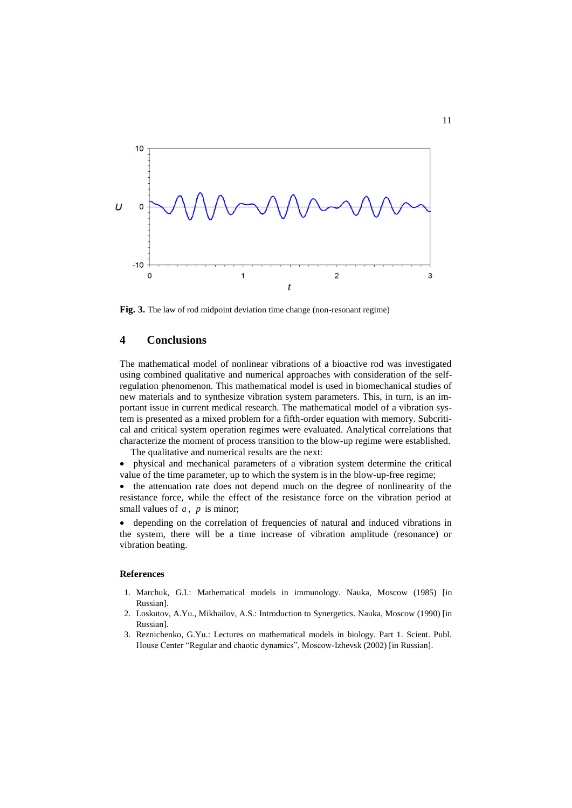

**Fig. 3.** The law of rod midpoint deviation time change (non-resonant regime)

### **4 Conclusions**

The mathematical model of nonlinear vibrations of a bioactive rod was investigated using combined qualitative and numerical approaches with consideration of the selfregulation phenomenon. This mathematical model is used in biomechanical studies of new materials and to synthesize vibration system parameters. This, in turn, is an important issue in current medical research. The mathematical model of a vibration system is presented as a mixed problem for a fifth-order equation with memory. Subcritical and critical system operation regimes were evaluated. Analytical correlations that characterize the moment of process transition to the blow-up regime were established.

The qualitative and numerical results are the next:

 physical and mechanical parameters of a vibration system determine the critical value of the time parameter, up to which the system is in the blow-up-free regime;

 the attenuation rate does not depend much on the degree of nonlinearity of the resistance force, while the effect of the resistance force on the vibration period at small values of  $a$ ,  $p$  is minor;

 depending on the correlation of frequencies of natural and induced vibrations in the system, there will be a time increase of vibration amplitude (resonance) or vibration beating.

#### **References**

- 1. Marchuk, G.I.: Mathematical models in immunology. Nauka, Moscow (1985) [in Russian].
- 2. Loskutov, A.Yu., Mikhailov, A.S.: Introduction to Synergetics. Nauka, Moscow (1990) [in Russian].
- 3. Reznichenko, G.Yu.: Lectures on mathematical models in biology. Part 1. Scient. Publ. House Center "Regular and chaotic dynamics", Moscow-Izhevsk (2002) [in Russian].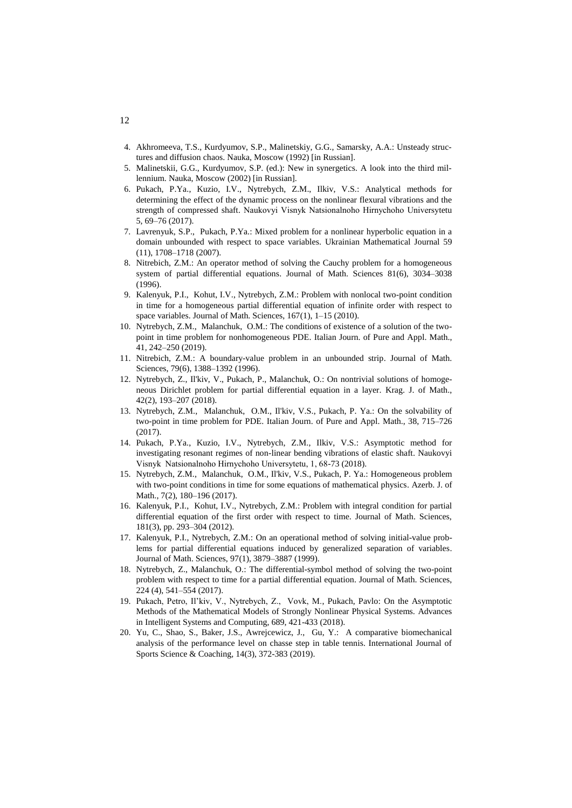- 4. Akhromeeva, T.S., Kurdyumov, S.P., Malinetskiy, G.G., Samarsky, A.A.: Unsteady structures and diffusion chaos. Nauka, Moscow (1992) [in Russian].
- 5. Malinetskii, G.G., Kurdyumov, S.P. (ed.): New in synergetics. A look into the third millennium. Nauka, Moscow (2002) [in Russian].
- 6. Pukach, P.Ya., Kuzio, I.V., Nytrebych, Z.M., Ilkiv, V.S.: [Analytical methods for](http://nvngu.in.ua/index.php/en/archive/on-the-issues/1486-2017-eng/contents-5-2017/geotechnical-and-mining-mechanical-engineering-machine-building/4135-analytical-methods-for-determining-the-effect-of-the-dynamic-process-on-the-nonlinear-flexural-vibrations-and-the-strength-of-compressed-shaft)  [determining the effect of the dynamic process on the nonlinear flexural vibrations and the](http://nvngu.in.ua/index.php/en/archive/on-the-issues/1486-2017-eng/contents-5-2017/geotechnical-and-mining-mechanical-engineering-machine-building/4135-analytical-methods-for-determining-the-effect-of-the-dynamic-process-on-the-nonlinear-flexural-vibrations-and-the-strength-of-compressed-shaft)  [strength of compressed shaft.](http://nvngu.in.ua/index.php/en/archive/on-the-issues/1486-2017-eng/contents-5-2017/geotechnical-and-mining-mechanical-engineering-machine-building/4135-analytical-methods-for-determining-the-effect-of-the-dynamic-process-on-the-nonlinear-flexural-vibrations-and-the-strength-of-compressed-shaft) Naukovyi Visnyk Natsіonalnoho Hіrnychoho Unіversytetu 5, 69–76 (2017).
- 7. Lavrenyuk, S.P., Pukach, P.Ya.: [Mixed problem for a nonlinear hyperbolic equation in a](http://www.hub.sciverse.com/action/redirect/citation/?targetURL=http%3A%2F%2Fdx.doi.org%2F10.1007%2Fs11253-008-0020-0&pg=Search%C2%A0Results&srcType=1007|springer|hisham|sbm|cros|sub|jnl|ics)  [domain unbounded with respect to space variables.](http://www.hub.sciverse.com/action/redirect/citation/?targetURL=http%3A%2F%2Fdx.doi.org%2F10.1007%2Fs11253-008-0020-0&pg=Search%C2%A0Results&srcType=1007|springer|hisham|sbm|cros|sub|jnl|ics) Ukrainian Mathematical Journal 59 (11), 1708–1718 (2007).
- 8. Nitrebich, Z.M.: An operator method of solving the Cauchy problem for a homogeneous system of partial differential equations. Journal of Math. Sciences 81(6), 3034–3038 (1996).
- 9. Kalenyuk, P.I., Kohut, I.V., Nytrebych, Z.M.: Problem with nonlocal two-point condition in time for a homogeneous partial differential equation of infinite order with respect to space variables. Journal of Math. Sciences, 167(1), 1–15 (2010).
- 10. [Nytrebych, Z.M., Malanchuk,](http://ezfind.technion.ac.il/vufind/EDS/Search?lookfor=Nytrebych%2C+Z%2E+M%2E&type=AU) O.M.: The conditions of existence of a solution of the twopoint in time problem for nonhomogeneous PDE. Italian Journ. of Pure and Appl. Math., 41, 242–250 (2019).
- 11. Nitrebich, Z.M.: A boundary-value problem in an unbounded strip. Journal of Math. Sciences, 79(6), 1388–1392 (1996).
- 12. Nytrebych, Z., Il'kiv, V., Pukach, P., Malanchuk, O.: On nontrivial solutions of homogeneous Dirichlet problem for partial differential equation in a layer. Krag. J. of Math., 42(2), 193–207 (2018).
- 13. [Nytrebych, Z.M., Malanchuk,](http://ezfind.technion.ac.il/vufind/EDS/Search?lookfor=Nytrebych%2C+Z%2E+M%2E&type=AU) O.M., Il'kiv, V.S., Pukach, P. Ya.: On the solvability of two-point in time problem for PDE. Italian Journ. of Pure and Appl. Math., 38, 715–726 (2017).
- 14. Pukach, P.Ya., Kuzio, I.V., Nytrebych, Z.M., Ilkiv, V.S.: Asymptotic method for investigating resonant regimes of non-linear bending vibrations of elastic shaft. Naukovyi Visnyk Natsіonalnoho Hіrnychoho Unіversytetu, 1, 68-73 (2018).
- 15. [Nytrebych, Z.M., Malanchuk,](http://ezfind.technion.ac.il/vufind/EDS/Search?lookfor=Nytrebych%2C+Z%2E+M%2E&type=AU) O.M., Il'kiv, V.S., Pukach, P. Ya.: Homogeneous problem with two-point conditions in time for some equations of mathematical physics. Azerb. J. of Math., 7(2), 180–196 (2017).
- 16. Kalenyuk, P.I., Kohut, I.V., Nytrebych, Z.M.: Problem with integral condition for partial differential equation of the first order with respect to time. Journal of Math. Sciences, 181(3), pp. 293–304 (2012).
- 17. Kalenyuk, P.I., Nytrebych, Z.M.: On an operational method of solving initial-value problems for partial differential equations induced by generalized separation of variables. Journal of Math. Sciences, 97(1), 3879–3887 (1999).
- 18. Nytrebych, Z., Malanchuk, O.: The differential-symbol method of solving the two-point problem with respect to time for a partial differential equation. Journal of Math. Sciences, 224 (4), 541–554 (2017).
- 19. Pukach, Petro, Il'kiv, V., Nytrebych, Z., Vovk, M., Pukach, Pavlo: On the Asymptotic Methods of the Mathematical Models of Strongly Nonlinear Physical Systems. Advances in Intelligent Systems and Computing, 689, 421-433 (2018).
- 20. Yu, C., Shao, S., Baker, J.S., Awrejcewicz, J., Gu, Y.: A comparative biomechanical analysis of the performance level on chasse step in table tennis. International Journal of Sports Science & Coaching, 14(3), 372-383 (2019).

12